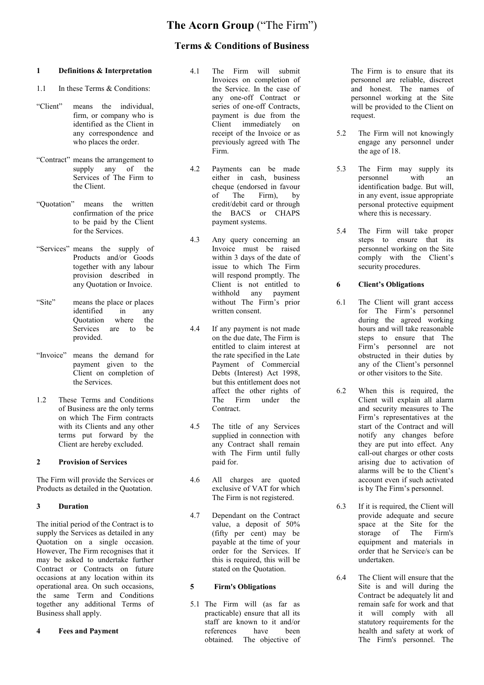# **The Acorn Group** ("The Firm")

## **Terms & Conditions of Business**

#### **1 Definitions & Interpretation**

- 1.1 In these Terms & Conditions:
- "Client" means the individual, firm, or company who is identified as the Client in any correspondence and who places the order.
- "Contract" means the arrangement to supply any of the Services of The Firm to the Client.
- "Quotation" means the written confirmation of the price to be paid by the Client for the Services.
- "Services" means the supply of Products and/or Goods together with any labour provision described in any Quotation or Invoice.
- "Site" means the place or places identified in any Quotation where the Services are to be provided.
- "Invoice" means the demand for payment given to the Client on completion of the Services.
- 1.2 These Terms and Conditions of Business are the only terms on which The Firm contracts with its Clients and any other terms put forward by the Client are hereby excluded.

#### **2 Provision of Services**

The Firm will provide the Services or Products as detailed in the Quotation.

#### **3 Duration**

The initial period of the Contract is to supply the Services as detailed in any Quotation on a single occasion. However, The Firm recognises that it may be asked to undertake further Contract or Contracts on future occasions at any location within its operational area. On such occasions, the same Term and Conditions together any additional Terms of Business shall apply.

#### **4 Fees and Payment**

- 4.1 The Firm will submit Invoices on completion of the Service. In the case of any one-off Contract or series of one-off Contracts, payment is due from the Client immediately on receipt of the Invoice or as previously agreed with The Firm.
- 4.2 Payments can be made either in cash, business cheque (endorsed in favour of The Firm), by credit/debit card or through the BACS or CHAPS payment systems.
- 4.3 Any query concerning an Invoice must be raised within 3 days of the date of issue to which The Firm will respond promptly. The Client is not entitled to<br>withhold any payment any payment without The Firm's prior written consent.
- 4.4 If any payment is not made on the due date, The Firm is entitled to claim interest at the rate specified in the Late Payment of Commercial Debts (Interest) Act 1998, but this entitlement does not affect the other rights of The Firm under the Contract.
- 4.5 The title of any Services supplied in connection with any Contract shall remain with The Firm until fully paid for.
- 4.6 All charges are quoted exclusive of VAT for which The Firm is not registered.
- 4.7 Dependant on the Contract value, a deposit of 50% (fifty per cent) may be payable at the time of your order for the Services. If this is required, this will be stated on the Quotation.

#### **5 Firm's Obligations**

5.1 The Firm will (as far as practicable) ensure that all its staff are known to it and/or references have been obtained. The objective of

The Firm is to ensure that its personnel are reliable, discreet and honest. The names of personnel working at the Site will be provided to the Client on request.

- 5.2 The Firm will not knowingly engage any personnel under the age of 18.
- 5.3 The Firm may supply its personnel with an identification badge. But will, in any event, issue appropriate personal protective equipment where this is necessary.
- 5.4 The Firm will take proper steps to ensure that its personnel working on the Site comply with the Client's security procedures.

#### **6 Client's Obligations**

- 6.1 The Client will grant access for The Firm's personnel during the agreed working hours and will take reasonable steps to ensure that The Firm's personnel are not obstructed in their duties by any of the Client's personnel or other visitors to the Site.
- 6.2 When this is required, the Client will explain all alarm and security measures to The Firm's representatives at the start of the Contract and will notify any changes before they are put into effect. Any call-out charges or other costs arising due to activation of alarms will be to the Client's account even if such activated is by The Firm's personnel.
- 6.3 If it is required, the Client will provide adequate and secure space at the Site for the storage of The Firm's storage of The equipment and materials in order that he Service/s can be undertaken.
- 6.4 The Client will ensure that the Site is and will during the Contract be adequately lit and remain safe for work and that it will comply with all statutory requirements for the health and safety at work of The Firm's personnel. The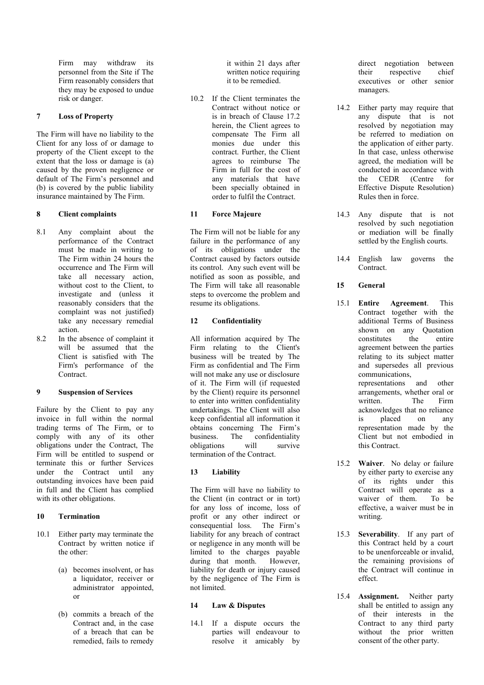Firm may withdraw its personnel from the Site if The Firm reasonably considers that they may be exposed to undue risk or danger.

#### **7 Loss of Property**

The Firm will have no liability to the Client for any loss of or damage to property of the Client except to the extent that the loss or damage is (a) caused by the proven negligence or default of The Firm's personnel and (b) is covered by the public liability insurance maintained by The Firm.

#### **8 Client complaints**

- 8.1 Any complaint about the performance of the Contract must be made in writing to The Firm within 24 hours the occurrence and The Firm will take all necessary action, without cost to the Client, to investigate and (unless it reasonably considers that the complaint was not justified) take any necessary remedial action.
- 8.2 In the absence of complaint it will be assumed that the Client is satisfied with The Firm's performance of the Contract.

#### **9 Suspension of Services**

Failure by the Client to pay any invoice in full within the normal trading terms of The Firm, or to comply with any of its other obligations under the Contract, The Firm will be entitled to suspend or terminate this or further Services under the Contract until any outstanding invoices have been paid in full and the Client has complied with its other obligations.

#### **10 Termination**

- 10.1 Either party may terminate the Contract by written notice if the other:
	- (a) becomes insolvent, or has a liquidator, receiver or administrator appointed, or
	- (b) commits a breach of the Contract and, in the case of a breach that can be remedied, fails to remedy

it within 21 days after written notice requiring it to be remedied.

10.2 If the Client terminates the Contract without notice or is in breach of Clause 17.2 herein, the Client agrees to compensate The Firm all monies due under this contract. Further, the Client agrees to reimburse The Firm in full for the cost of any materials that have been specially obtained in order to fulfil the Contract.

## **11 Force Majeure**

The Firm will not be liable for any failure in the performance of any of its obligations under the Contract caused by factors outside its control. Any such event will be notified as soon as possible, and The Firm will take all reasonable steps to overcome the problem and resume its obligations.

## **12 Confidentiality**

All information acquired by The Firm relating to the Client's business will be treated by The Firm as confidential and The Firm will not make any use or disclosure of it. The Firm will (if requested by the Client) require its personnel to enter into written confidentiality undertakings. The Client will also keep confidential all information it obtains concerning The Firm's business. The confidentiality obligations will survive termination of the Contract.

## **13 Liability**

The Firm will have no liability to the Client (in contract or in tort) for any loss of income, loss of profit or any other indirect or consequential loss. The Firm's liability for any breach of contract or negligence in any month will be limited to the charges payable during that month. However, liability for death or injury caused by the negligence of The Firm is not limited.

## **14 Law & Disputes**

14.1 If a dispute occurs the parties will endeavour to resolve it amicably by direct negotiation between their respective chief executives or other senior managers.

- 14.2 Either party may require that any dispute that is not resolved by negotiation may be referred to mediation on the application of either party. In that case, unless otherwise agreed, the mediation will be conducted in accordance with the CEDR (Centre for Effective Dispute Resolution) Rules then in force.
- 14.3 Any dispute that is not resolved by such negotiation or mediation will be finally settled by the English courts.
- 14.4 English law governs the Contract.
- **15 General**
- 15.1 **Entire Agreement**. This Contract together with the additional Terms of Business shown on any Quotation constitutes the entire agreement between the parties relating to its subject matter and supersedes all previous communications, representations and other arrangements, whether oral or written. The Firm acknowledges that no reliance is placed on any representation made by the Client but not embodied in this Contract.
- 15.2 **Waiver**. No delay or failure by either party to exercise any of its rights under this Contract will operate as a waiver of them. To be effective, a waiver must be in writing.
- 15.3 **Severability**. If any part of this Contract held by a court to be unenforceable or invalid, the remaining provisions of the Contract will continue in effect.
- 15.4 **Assignment.** Neither party shall be entitled to assign any of their interests in the Contract to any third party without the prior written consent of the other party.